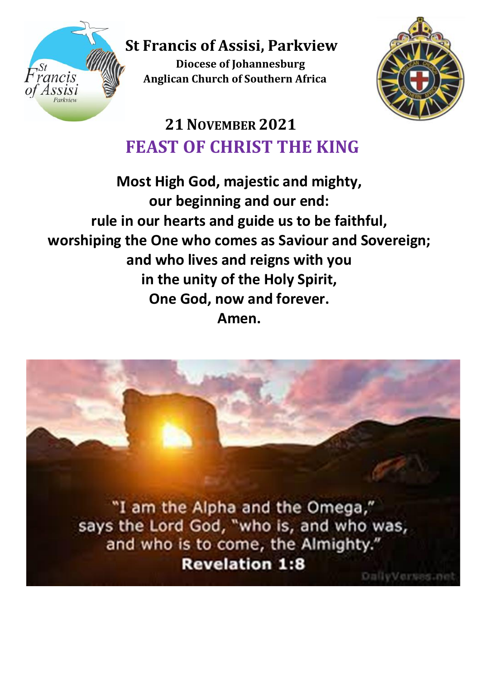

 **St Francis of Assisi, Parkview**

**Diocese of Johannesburg Anglican Church of Southern Africa**<br>*Anglican* Church of Southern Africa



# **21NOVEMBER 2021 FEAST OF CHRIST THE KING**

**Most High God, majestic and mighty, our beginning and our end: rule in our hearts and guide us to be faithful, worshiping the One who comes as Saviour and Sovereign; and who lives and reigns with you in the unity of the Holy Spirit, One God, now and forever. Amen.**

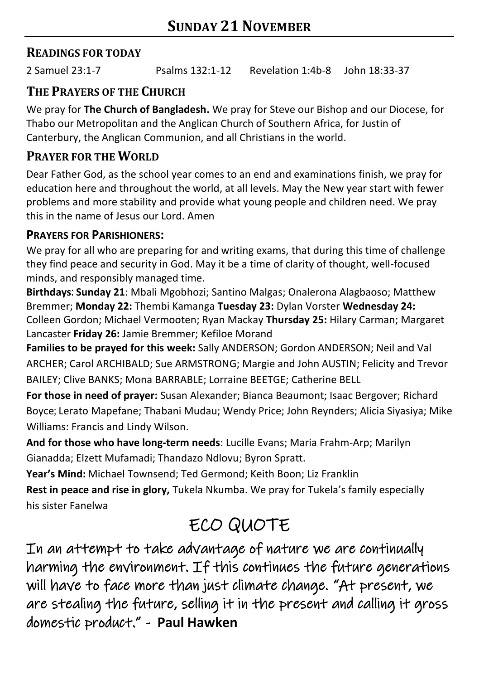## **READINGS FOR TODAY**

2 Samuel 23:1-7 Psalms 132:1-12 Revelation 1:4b-8 John 18:33-37

## **THE PRAYERS OF THE CHURCH**

We pray for **The Church of Bangladesh.** We pray for Steve our Bishop and our Diocese, for Thabo our Metropolitan and the Anglican Church of Southern Africa, for Justin of Canterbury, the Anglican Communion, and all Christians in the world.

## **PRAYER FOR THE WORLD**

Dear Father God, as the school year comes to an end and examinations finish, we pray for education here and throughout the world, at all levels. May the New year start with fewer problems and more stability and provide what young people and children need. We pray this in the name of Jesus our Lord. Amen

#### **PRAYERS FOR PARISHIONERS:**

We pray for all who are preparing for and writing exams, that during this time of challenge they find peace and security in God. May it be a time of clarity of thought, well-focused minds, and responsibly managed time.

**Birthdays**: **Sunday 21**: Mbali Mgobhozi; Santino Malgas; Onalerona Alagbaoso; Matthew Bremmer; **Monday 22:** Thembi Kamanga **Tuesday 23:** Dylan Vorster **Wednesday 24:** Colleen Gordon; Michael Vermooten; Ryan Mackay **Thursday 25:** Hilary Carman; Margaret Lancaster **Friday 26:** Jamie Bremmer; Kefiloe Morand

**Families to be prayed for this week:** Sally ANDERSON; Gordon ANDERSON; Neil and Val ARCHER; Carol ARCHIBALD; Sue ARMSTRONG; Margie and John AUSTIN; Felicity and Trevor BAILEY; Clive BANKS; Mona BARRABLE; Lorraine BEETGE; Catherine BELL

**For those in need of prayer:** Susan Alexander; Bianca Beaumont; Isaac Bergover; Richard Boyce; Lerato Mapefane; Thabani Mudau; Wendy Price; John Reynders; Alicia Siyasiya; Mike Williams: Francis and Lindy Wilson.

**And for those who have long-term needs**: Lucille Evans; Maria Frahm-Arp; Marilyn Gianadda; Elzett Mufamadi; Thandazo Ndlovu; Byron Spratt.

**Year's Mind:** Michael Townsend; Ted Germond; Keith Boon; Liz Franklin

**Rest in peace and rise in glory,** Tukela Nkumba. We pray for Tukela's family especially his sister Fanelwa

# ECO QUOTE

In an attempt to take advantage of nature we are continually harming the environment. If this continues the future generations will have to face more than just climate change. "At present, we are stealing the future, selling it in the present and calling it gross domestic product." - **Paul Hawken**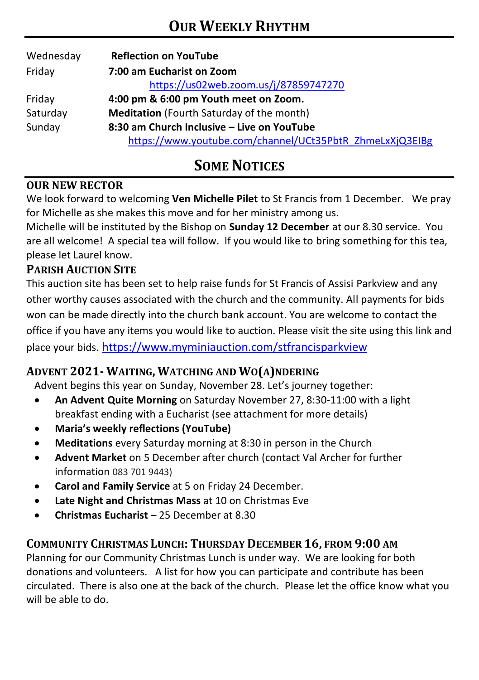| Wednesday | <b>Reflection on YouTube</b>                             |  |  |
|-----------|----------------------------------------------------------|--|--|
| Friday    | 7:00 am Eucharist on Zoom                                |  |  |
|           | https://us02web.zoom.us/j/87859747270                    |  |  |
| Friday    | 4:00 pm & 6:00 pm Youth meet on Zoom.                    |  |  |
| Saturday  | <b>Meditation</b> (Fourth Saturday of the month)         |  |  |
| Sunday    | 8:30 am Church Inclusive - Live on YouTube               |  |  |
|           | https://www.youtube.com/channel/UCt35PbtR_ZhmeLxXjQ3EIBg |  |  |

## **SOME NOTICES**

#### **OUR NEW RECTOR**

We look forward to welcoming **Ven Michelle Pilet** to St Francis from 1 December. We pray for Michelle as she makes this move and for her ministry among us.

Michelle will be instituted by the Bishop on **Sunday 12 December** at our 8.30 service. You are all welcome! A special tea will follow. If you would like to bring something for this tea, please let Laurel know.

#### **PARISH AUCTION SITE**

This auction site has been set to help raise funds for St Francis of Assisi Parkview and any other worthy causes associated with the church and the community. All payments for bids won can be made directly into the church bank account. You are welcome to contact the office if you have any items you would like to auction. Please visit the site using this link and place your bids. <https://www.myminiauction.com/stfrancisparkview>

### **ADVENT 2021- WAITING, WATCHING AND WO(A)NDERING**

Advent begins this year on Sunday, November 28. Let's journey together:

- **An Advent Quite Morning** on Saturday November 27, 8:30-11:00 with a light breakfast ending with a Eucharist (see attachment for more details)
- **Maria's weekly reflections (YouTube)**
- **Meditations** every Saturday morning at 8:30 in person in the Church
- **Advent Market** on 5 December after church (contact Val Archer for further information 083 701 9443)
- **Carol and Family Service** at 5 on Friday 24 December.
- **Late Night and Christmas Mass** at 10 on Christmas Eve
- **Christmas Eucharist** 25 December at 8.30

#### **COMMUNITY CHRISTMAS LUNCH: THURSDAY DECEMBER 16, FROM 9:00 AM**

Planning for our Community Christmas Lunch is under way. We are looking for both donations and volunteers. A list for how you can participate and contribute has been circulated. There is also one at the back of the church. Please let the office know what you will be able to do.